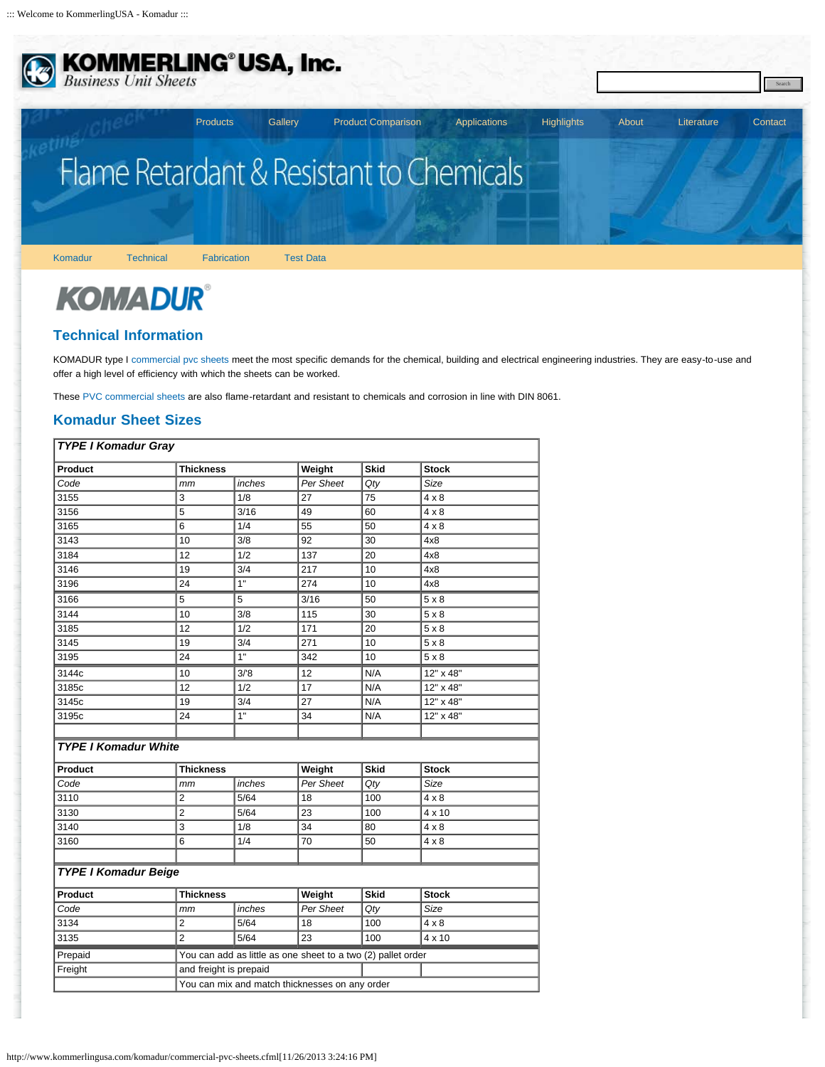<span id="page-0-0"></span>

**KOMMERLING<sup>®</sup>USA, Inc.**<br>Business Unit Sheets

# Flame Retardant & Resistant to Chemicals

[Komadur](http://www.kommerlingusa.com/komadur/type-1-pvc.cfml) [Technical](#page-0-0) [Fabrication](http://www.kommerlingusa.com/komadur/fabrication.cfml) [Test Data](http://www.kommerlingusa.com/komadur/test_data.cfml)

## **KOMADUR®**

### **Technical Information**

KOMADUR type I [commercial pvc sheets](#page-0-0) meet the most specific demands for the chemical, building and electrical engineering industries. They are easy-to-use and offer a high level of efficiency with which the sheets can be worked.

[Products](http://www.kommerlingusa.com/pvc-sheets.cfml) [Gallery](http://www.kommerlingusa.com/gallery/) [Product Comparison](http://www.kommerlingusa.com/product_comparison.cfml) [Applications](http://www.kommerlingusa.com/rigid-pvc.cfml) [Highlights](http://www.kommerlingusa.com/highlights/) [About](http://www.kommerlingusa.com/pvc-manufacturer/about-us.cfml) [Literature](http://www.kommerlingusa.com/literature.cfml) [Contact](http://www.kommerlingusa.com/contact/)

Search

These [PVC commercial sheets](#page-0-0) are also flame-retardant and resistant to chemicals and corrosion in line with DIN 8061.

### **Komadur Sheet Sizes**

| <b>TYPE I Komadur Gray</b>  |                                                |                                                              |           |             |              |
|-----------------------------|------------------------------------------------|--------------------------------------------------------------|-----------|-------------|--------------|
| Product                     | <b>Thickness</b>                               |                                                              | Weight    | <b>Skid</b> | <b>Stock</b> |
| Code                        | mm                                             | inches                                                       | Per Sheet | Qty         | Size         |
| 3155                        | 3                                              | 1/8                                                          | 27        | 75          | $4 \times 8$ |
| 3156                        | 5                                              | 3/16                                                         | 49        | 60          | 4 x 8        |
| 3165                        | 6                                              | 1/4                                                          | 55        | 50          | $4 \times 8$ |
| 3143                        | 10                                             | 3/8                                                          | 92        | 30          | 4x8          |
| 3184                        | 12                                             | 1/2                                                          | 137       | 20          | 4x8          |
| 3146                        | 19                                             | 3/4                                                          | 217       | 10          | 4x8          |
| 3196                        | 24                                             | $\overline{1}$                                               | 274       | 10          | 4x8          |
| 3166                        | 5                                              | 5                                                            | 3/16      | 50          | $5 \times 8$ |
| 3144                        | 10                                             | 3/8                                                          | 115       | 30          | $5 \times 8$ |
| 3185                        | 12                                             | 1/2                                                          | 171       | 20          | $5 \times 8$ |
| 3145                        | 19                                             | 3/4                                                          | 271       | 10          | 5x8          |
| 3195                        | 24                                             | 1"                                                           | 342       | 10          | 5x8          |
| 3144c                       | 10                                             | 3/8                                                          | 12        | N/A         | 12" x 48"    |
| 3185c                       | 12                                             | 1/2                                                          | 17        | N/A         | 12" x 48"    |
| 3145c                       | 19                                             | 3/4                                                          | 27        | N/A         | 12" x 48"    |
| 3195c                       | 24                                             | 1"                                                           | 34        | N/A         | 12" x 48"    |
|                             |                                                |                                                              |           |             |              |
| <b>TYPE I Komadur White</b> |                                                |                                                              |           |             |              |
| Product                     | <b>Thickness</b>                               |                                                              | Weight    | <b>Skid</b> | <b>Stock</b> |
| Code                        | mm                                             | inches                                                       | Per Sheet | Qty         | Size         |
| 3110                        | $\overline{2}$                                 | 5/64                                                         | 18        | 100         | $4 \times 8$ |
| 3130                        | $\overline{2}$                                 | 5/64                                                         | 23        | 100         | 4 x 10       |
| 3140                        | 3                                              | 1/8                                                          | 34        | 80          | $4 \times 8$ |
| 3160                        | 6                                              | 1/4                                                          | 70        | 50          | $4 \times 8$ |
|                             |                                                |                                                              |           |             |              |
| <b>TYPE I Komadur Beige</b> |                                                |                                                              |           |             |              |
| Product                     | <b>Thickness</b>                               |                                                              | Weight    | <b>Skid</b> | <b>Stock</b> |
| Code                        | mm                                             | inches                                                       | Per Sheet | Qty         | Size         |
| 3134                        | $\overline{2}$                                 | 5/64                                                         | 18        | 100         | $4 \times 8$ |
| 3135                        | $\overline{2}$                                 | 5/64                                                         | 23        | 100         | 4 x 10       |
| Prepaid                     |                                                | You can add as little as one sheet to a two (2) pallet order |           |             |              |
| Freight                     | and freight is prepaid                         |                                                              |           |             |              |
|                             | You can mix and match thicknesses on any order |                                                              |           |             |              |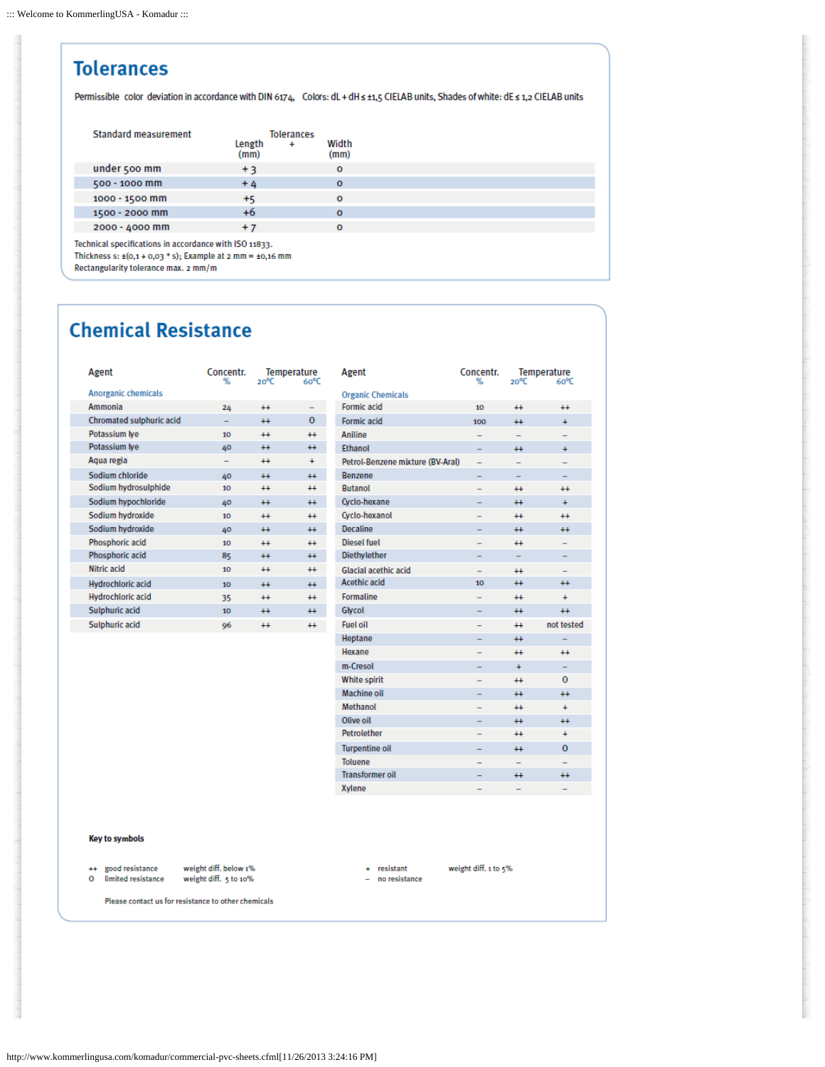#### **Tolerances** Permissible color deviation in accordance with DIN 6174, Colors: dL + dH ≤ ±1,5 CIELAB units, Shades of white: dE ≤ 1,2 CIELAB units **Standard measurement** Tolerances Length Width  $\overline{4}$  $(mm)$  $(mm)$ under 500 mm  $+3$  $\mathbf{o}$ 500 - 1000 mm  $+4$  $\Omega$ 1000 - 1500 mm  $+5$  $\circ$ 1500 - 2000 mm  $+6$  $\mathbf{o}$ 2000 - 4000 mm  $+7$  $\circ$ Technical specifications in accordance with ISO 11833.

Thickness s:  $\pm$ (0,1 + 0,03 \* s); Example at 2 mm =  $\pm$ 0,16 mm

### Rectangularity tolerance max. 2 mm/m

### **Chemical Resistance**

Ī

l

l

l ł

| Agent                    | Concentr.<br>℆   | 20°C    | Temperature<br>60°C |
|--------------------------|------------------|---------|---------------------|
| Anorganic chemicals      |                  |         |                     |
| Ammonia                  | 24               | $++$    |                     |
| Chromated sulphuric acid |                  | $++$    | o                   |
| Potassium lye            | 10 <sub>10</sub> | $^{++}$ | $^{+}$              |
| Potassium lye            | 40               | $++$    | $++$                |
| Aqua regia               |                  | $++$    | ÷.                  |
| Sodium chloride          | 40               | $++$    | $++$                |
| Sodium hydrosulphide     | 10               | $^{++}$ | $+$                 |
| Sodium hypochloride      | 40               | $++$    | $++$                |
| Sodium hydroxide         | 10 <sub>10</sub> | $++$    | $++$                |
| Sodium hydroxide         | 40               | $++$    | $++$                |
| Phosphoric acid          | 10               | $++$    | $++$                |
| Phosphoric acid          | 85               | $++$    | $++$                |
| Nitric acid              | 10               | $++$    | $++$                |
| Hydrochloric acid        | 10               | $++$    | $++$                |
| Hydrochloric acid        | 35               | $^{++}$ | $++$                |
| Sulphuric acid           | 10               | $++$    | $++$                |
| Sulphuric acid           | 96               | $++$    | $++$                |

| Agent                                   | Concentr.      |                          | Temperature       |
|-----------------------------------------|----------------|--------------------------|-------------------|
|                                         | 吆              | $20^{\circ}C$            | Go <sup>o</sup> C |
| <b>Organic Chemicals</b><br>Formic acid | 10             | $++$                     | $++$              |
| Formic acid                             | 100            | $+$                      | ÷.                |
| Aniline                                 |                |                          |                   |
| <b>Ethanol</b>                          |                |                          |                   |
|                                         | -              | $++$                     | $\ddot{}$         |
| Petrol-Benzene mixture (BV-Aral)        |                |                          |                   |
| <b>Renzene</b>                          |                |                          |                   |
| Rutanol                                 |                | $++$                     | $++$              |
| Cyclo-hexane                            |                | $++$                     | $\ddot{}$         |
| Cyclo-hexanol                           |                | $++$                     | $++$              |
| Decaline                                | -              | $++$                     | $+$               |
| Diesel fuel                             |                | $++$                     | -                 |
| <b>Diethylether</b>                     |                | $\overline{a}$           |                   |
| Glacial acethic acid                    |                | $++$                     |                   |
| Acethic acid                            | 10             | $++$                     | $++$              |
| <b>Formaline</b>                        |                | $++$                     | $\ddot{}$         |
| Glycol                                  |                | $+$                      | $++$              |
| <b>Fuel oil</b>                         |                | $++$                     | not tested        |
| Heptane                                 |                | $++$                     |                   |
| Hexane                                  |                | $++$                     | $++$              |
| m-Cresol                                | -              | $\ddot{\phantom{1}}$     |                   |
| White spirit                            |                | $++$                     | $\Omega$          |
| Machine oil                             | $\overline{a}$ | $++$                     | $++$              |
| Methanol                                |                | $++$                     | <sup>+</sup>      |
| Olive oil                               |                | $++$                     | $++$              |
| Petrolether                             |                | $++$                     | ÷.                |
| <b>Turpentine oil</b>                   |                | $++$                     | $\Omega$          |
| <b>Toluene</b>                          |                | $\overline{\phantom{0}}$ | -                 |
| <b>Transformer oil</b>                  |                | $++$                     | $++$              |
| <b>Xylene</b>                           |                |                          |                   |

### Key to symbols

weight diff. below 1% ++ good resistance  $\mathbf 0$ limited resistance

- weight diff. 5 to 10%
- $+$  resistant - no resistance

weight diff. 1 to 5%

Please contact us for resistance to other chemicals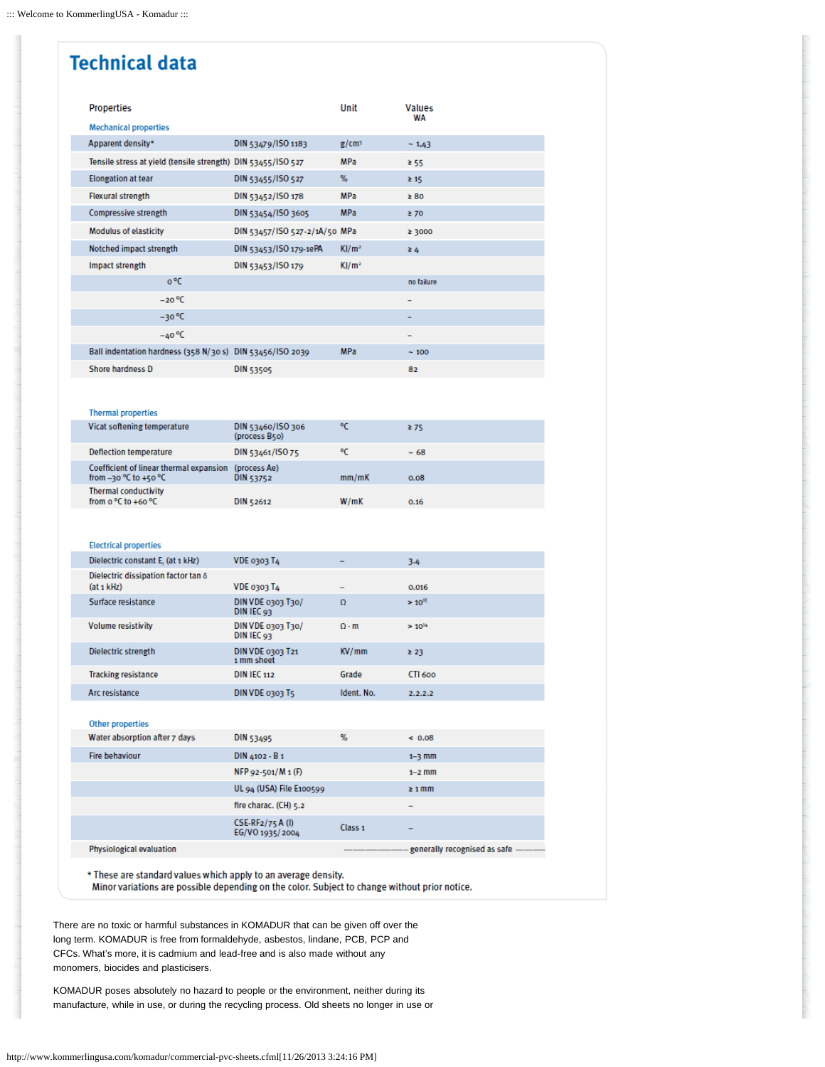### **Technical data**

| Properties                                                   |                               | Unit              | <b>Values</b><br>WA |
|--------------------------------------------------------------|-------------------------------|-------------------|---------------------|
| <b>Mechanical properties</b>                                 |                               |                   |                     |
| Apparent density*                                            | DIN 53479/ISO 1183            | g/cm <sup>3</sup> | ~1,43               |
| Tensile stress at yield (tensile strength) DIN 53455/ISO 527 |                               | <b>MPa</b>        | ≥ 55                |
| <b>Elongation at tear</b>                                    | DIN 53455/ISO 527             | %                 | $\geq 15$           |
| Flexural strength                                            | DIN 53452/ISO 178             | <b>MPa</b>        | $\geq 80$           |
| Compressive strength                                         | DIN 53454/ISO 3605            | <b>MPa</b>        | $\geq 70$           |
| Modulus of elasticity                                        | DIN 53457/ISO 527-2/1A/50 MPa |                   | ≥ 3000              |
| Notched impact strength                                      | DIN 53453/ISO 179-1ePA        | KJ/m <sup>2</sup> | $\geq 4$            |
| Impact strength                                              | DIN 53453/ISO 179             | KJ/m <sup>2</sup> |                     |
| o °C                                                         |                               |                   | no failure          |
| $-20 °C$                                                     |                               |                   | -                   |
| $-30 °C$                                                     |                               |                   | -                   |
| $-40 °C$                                                     |                               |                   |                     |
| Ball indentation hardness (358 N/30 s) DIN 53456/ISO 2039    |                               | <b>MPa</b>        | $\sim 100$          |
| Shore hardness D                                             | <b>DIN 53505</b>              |                   | 82                  |

#### **Thermal properties**

| Vicat softening temperature                                          | DIN 53460/ISO 306<br>(process B50) | ۰c    | ≥ 75       |
|----------------------------------------------------------------------|------------------------------------|-------|------------|
| Deflection temperature                                               | DIN 53461/ISO 75                   | ۰c    | $~\sim 68$ |
| Coefficient of linear thermal expansion<br>from $-30$ °C to $+50$ °C | (process Ae)<br>DIN 53752          | mm/mK | 0.08       |
| <b>Thermal conductivity</b><br>from $o^oC$ to $+6o^oC$               | DIN 52612                          | W/mK  | 0.16       |

### **Electrical properties**

| Dielectric constant E, (at 1 kHz)                            | <b>VDE 0303 T4</b>              | -                | 3.4         |
|--------------------------------------------------------------|---------------------------------|------------------|-------------|
| Dielectric dissipation factor tan &<br>(at <sub>1</sub> kHz) | <b>VDE 0303 T4</b>              | -                | 0.016       |
| Surface resistance                                           | DIN VDE 0303 T30/<br>DIN IEC 93 | $\Omega$         | $> 10^{15}$ |
| <b>Volume resistivity</b>                                    | DIN VDE 0303 T30/<br>DIN IEC 93 | $\Omega \cdot m$ | $> 10^{14}$ |
| Dielectric strength                                          | DIN VDE 0303 T21<br>1 mm sheet  | KV/mm            | 23          |
| <b>Tracking resistance</b>                                   | <b>DIN IEC 112</b>              | Grade            | CTI 600     |
| Arc resistance                                               | DIN VDE 0303 T5                 | Ident, No.       | 2.2.2.2     |

### Other properties Water absorption after 7 days DIN 53495

| <b>Hire behaviour</b>           | DIN 4102 - B 1                       |                    | $1 - 3$ mm                          |
|---------------------------------|--------------------------------------|--------------------|-------------------------------------|
|                                 | $NFP 92-501/M 1 (F)$                 |                    | $1-2$ mm                            |
|                                 | UL 94 (USA) File E100599             |                    | $\geq 1$ mm                         |
|                                 | fire charac. (CH) 5.2                |                    | $\qquad \qquad$                     |
|                                 | $CSE-RF2/75A$ (I)<br>EG/VO 1935/2004 | Class <sub>1</sub> | $\qquad \qquad$                     |
| <b>Physiological ovaluation</b> |                                      |                    | conorally rocognised as safe ______ |

 $%$ 

 $& 0.08$ 

\* These are standard values which apply to an average density.

Minor variations are possible depending on the color. Subject to change without prior notice.

There are no toxic or harmful substances in KOMADUR that can be given off over the long term. KOMADUR is free from formaldehyde, asbestos, lindane, PCB, PCP and CFCs. What's more, it is cadmium and lead-free and is also made without any monomers, biocides and plasticisers.

KOMADUR poses absolutely no hazard to people or the environment, neither during its manufacture, while in use, or during the recycling process. Old sheets no longer in use or